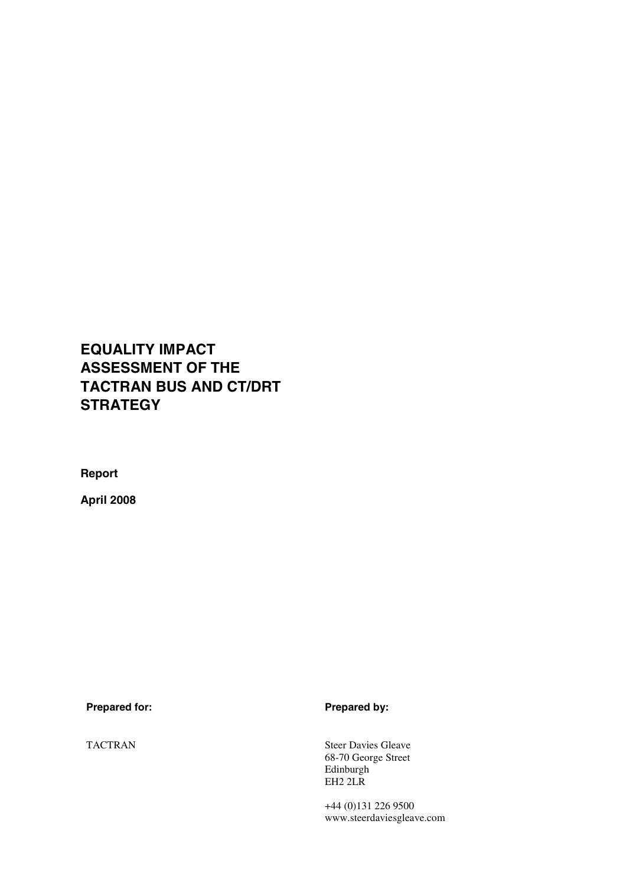# **EQUALITY IMPACT ASSESSMENT OF THE TACTRAN BUS AND CT/DRT STRATEGY**

**Report**

**April 2008**

**Prepared for: Prepared by:** 

**TACTRAN** 

Steer Davies Gleave 68-70 George Street Edinburgh EH2 2LR

+44 (0)131 226 9500 www.steerdaviesgleave.com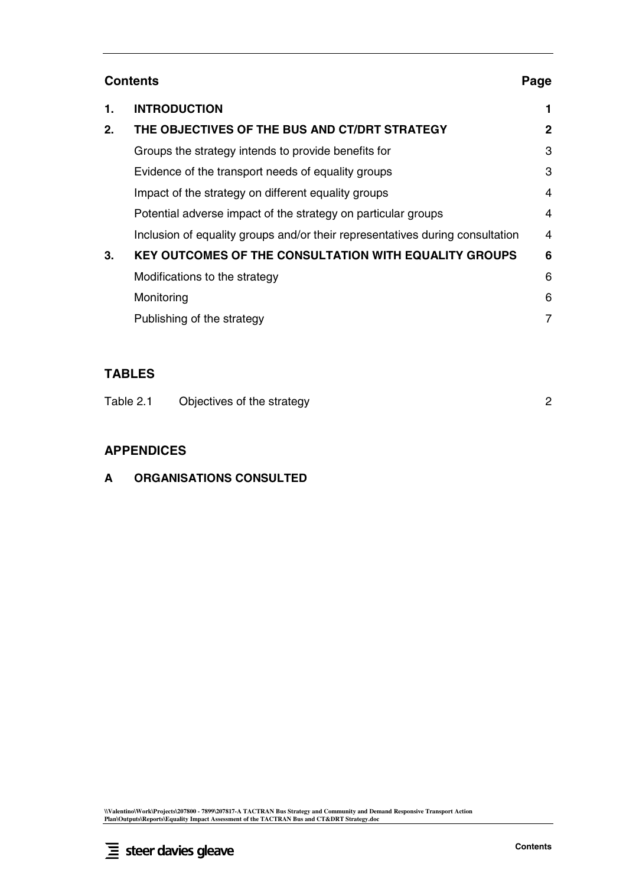|    | <b>Contents</b>                                                               | Page |
|----|-------------------------------------------------------------------------------|------|
| 1. | <b>INTRODUCTION</b>                                                           |      |
| 2. | THE OBJECTIVES OF THE BUS AND CT/DRT STRATEGY                                 | 2    |
|    | Groups the strategy intends to provide benefits for                           | 3    |
|    | Evidence of the transport needs of equality groups                            | 3    |
|    | Impact of the strategy on different equality groups                           | 4    |
|    | Potential adverse impact of the strategy on particular groups                 | 4    |
|    | Inclusion of equality groups and/or their representatives during consultation | 4    |
| 3. | <b>KEY OUTCOMES OF THE CONSULTATION WITH EQUALITY GROUPS</b>                  | 6    |
|    | Modifications to the strategy                                                 | 6    |
|    | Monitoring                                                                    | 6    |
|    | Publishing of the strategy                                                    | 7    |
|    |                                                                               |      |

# **TABLES**

| Table 2.1 | Objectives of the strategy |  |
|-----------|----------------------------|--|
|-----------|----------------------------|--|

# **APPENDICES**

**A ORGANISATIONS CONSULTED**

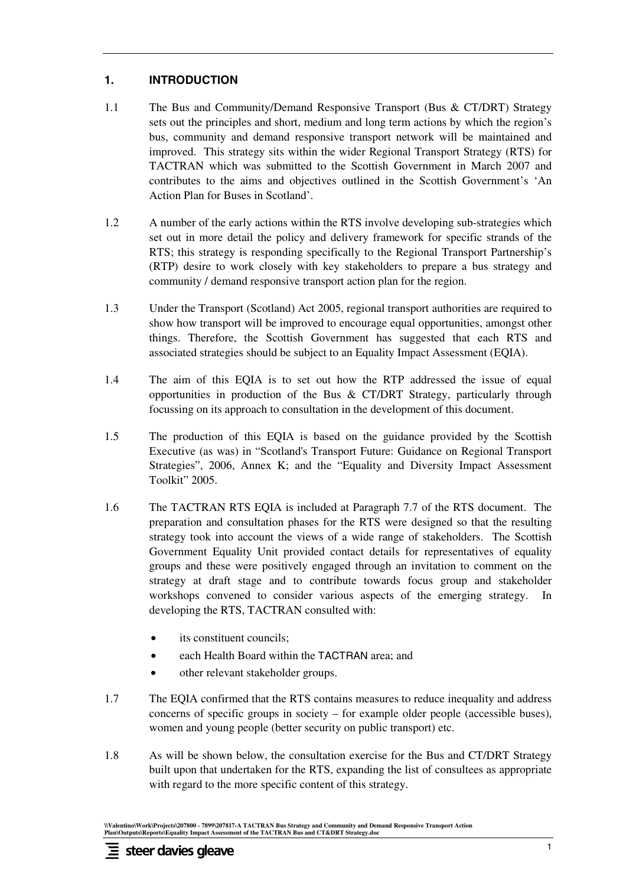# **1. INTRODUCTION**

- 1.1 The Bus and Community/Demand Responsive Transport (Bus & CT/DRT) Strategy sets out the principles and short, medium and long term actions by which the region's bus, community and demand responsive transport network will be maintained and improved. This strategy sits within the wider Regional Transport Strategy (RTS) for TACTRAN which was submitted to the Scottish Government in March 2007 and contributes to the aims and objectives outlined in the Scottish Government's 'An Action Plan for Buses in Scotland'.
- 1.2 A number of the early actions within the RTS involve developing sub-strategies which set out in more detail the policy and delivery framework for specific strands of the RTS; this strategy is responding specifically to the Regional Transport Partnership's (RTP) desire to work closely with key stakeholders to prepare a bus strategy and community / demand responsive transport action plan for the region.
- 1.3 Under the Transport (Scotland) Act 2005, regional transport authorities are required to show how transport will be improved to encourage equal opportunities, amongst other things. Therefore, the Scottish Government has suggested that each RTS and associated strategies should be subject to an Equality Impact Assessment (EQIA).
- 1.4 The aim of this EQIA is to set out how the RTP addressed the issue of equal opportunities in production of the Bus & CT/DRT Strategy, particularly through focussing on its approach to consultation in the development of this document.
- 1.5 The production of this EQIA is based on the guidance provided by the Scottish Executive (as was) in "Scotland's Transport Future: Guidance on Regional Transport Strategies", 2006, Annex K; and the "Equality and Diversity Impact Assessment Toolkit" 2005.
- 1.6 The TACTRAN RTS EQIA is included at Paragraph 7.7 of the RTS document. The preparation and consultation phases for the RTS were designed so that the resulting strategy took into account the views of a wide range of stakeholders. The Scottish Government Equality Unit provided contact details for representatives of equality groups and these were positively engaged through an invitation to comment on the strategy at draft stage and to contribute towards focus group and stakeholder workshops convened to consider various aspects of the emerging strategy. In developing the RTS, TACTRAN consulted with:
	- its constituent councils;
	- each Health Board within the TACTRAN area; and
	- other relevant stakeholder groups.
- 1.7 The EQIA confirmed that the RTS contains measures to reduce inequality and address concerns of specific groups in society – for example older people (accessible buses), women and young people (better security on public transport) etc.
- 1.8 As will be shown below, the consultation exercise for the Bus and CT/DRT Strategy built upon that undertaken for the RTS, expanding the list of consultees as appropriate with regard to the more specific content of this strategy.

**<sup>\\</sup>Valentino\Work\Projects\207800 - 7899\207817-A TACTRAN Bus Strategy and Community and Demand Responsive Transport Action Plan\Outputs\Reports\Equality Impact Assessment of the TACTRAN Bus and CT&DRT Strategy.doc**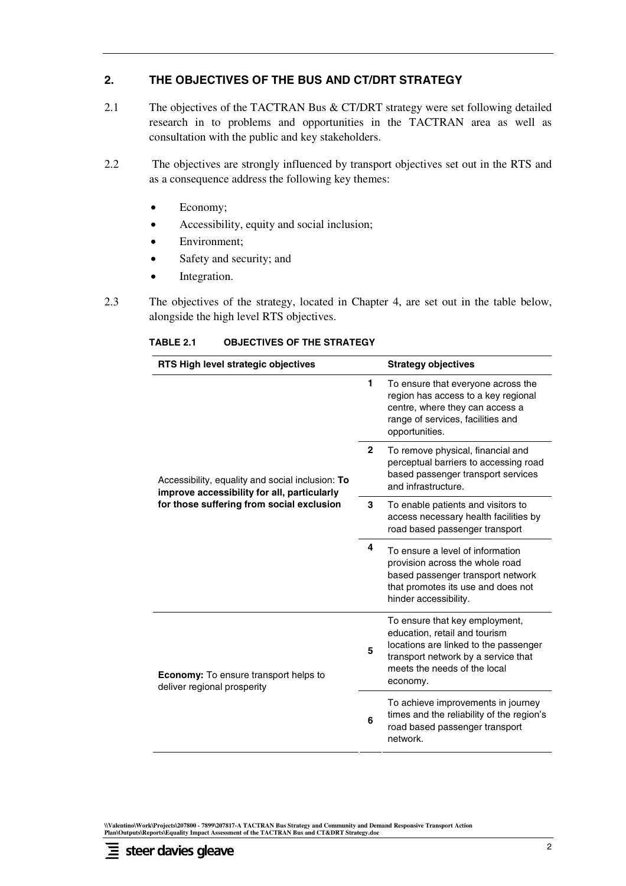## **2. THE OBJECTIVES OF THE BUS AND CT/DRT STRATEGY**

- 2.1 The objectives of the TACTRAN Bus & CT/DRT strategy were set following detailed research in to problems and opportunities in the TACTRAN area as well as consultation with the public and key stakeholders.
- 2.2 The objectives are strongly influenced by transport objectives set out in the RTS and as a consequence address the following key themes:
	- Economy;
	- Accessibility, equity and social inclusion;
	- Environment;
	- Safety and security; and
	- Integration.
- 2.3 The objectives of the strategy, located in Chapter 4, are set out in the table below, alongside the high level RTS objectives.

**TABLE 2.1 OBJECTIVES OF THE STRATEGY**

| RTS High level strategic objectives                                                             |                | <b>Strategy objectives</b>                                                                                                                                                                  |
|-------------------------------------------------------------------------------------------------|----------------|---------------------------------------------------------------------------------------------------------------------------------------------------------------------------------------------|
|                                                                                                 | 1              | To ensure that everyone across the<br>region has access to a key regional<br>centre, where they can access a<br>range of services, facilities and<br>opportunities.                         |
| Accessibility, equality and social inclusion: To<br>improve accessibility for all, particularly | $\overline{2}$ | To remove physical, financial and<br>perceptual barriers to accessing road<br>based passenger transport services<br>and infrastructure.                                                     |
| for those suffering from social exclusion                                                       | 3              | To enable patients and visitors to<br>access necessary health facilities by<br>road based passenger transport                                                                               |
|                                                                                                 | 4              | To ensure a level of information<br>provision across the whole road<br>based passenger transport network<br>that promotes its use and does not<br>hinder accessibility.                     |
| <b>Economy:</b> To ensure transport helps to<br>deliver regional prosperity                     |                | To ensure that key employment,<br>education, retail and tourism<br>locations are linked to the passenger<br>transport network by a service that<br>meets the needs of the local<br>economy. |
|                                                                                                 | 6              | To achieve improvements in journey<br>times and the reliability of the region's<br>road based passenger transport<br>network.                                                               |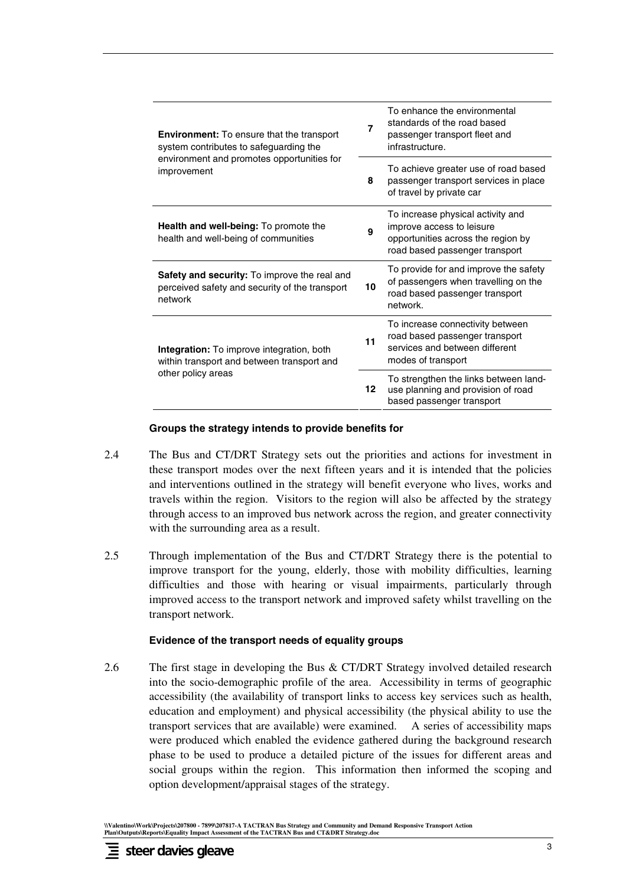| <b>Environment:</b> To ensure that the transport<br>system contributes to safeguarding the                       |    | To enhance the environmental<br>standards of the road based<br>passenger transport fleet and<br>infrastructure.                        |
|------------------------------------------------------------------------------------------------------------------|----|----------------------------------------------------------------------------------------------------------------------------------------|
| environment and promotes opportunities for<br>improvement                                                        | 8  | To achieve greater use of road based<br>passenger transport services in place<br>of travel by private car                              |
| <b>Health and well-being:</b> To promote the<br>health and well-being of communities                             |    | To increase physical activity and<br>improve access to leisure<br>opportunities across the region by<br>road based passenger transport |
| <b>Safety and security:</b> To improve the real and<br>perceived safety and security of the transport<br>network |    | To provide for and improve the safety<br>of passengers when travelling on the<br>road based passenger transport<br>network.            |
| <b>Integration:</b> To improve integration, both<br>within transport and between transport and                   |    | To increase connectivity between<br>road based passenger transport<br>services and between different<br>modes of transport             |
| other policy areas                                                                                               | 12 | To strengthen the links between land-<br>use planning and provision of road<br>based passenger transport                               |

#### **Groups the strategy intends to provide benefits for**

- 2.4 The Bus and CT/DRT Strategy sets out the priorities and actions for investment in these transport modes over the next fifteen years and it is intended that the policies and interventions outlined in the strategy will benefit everyone who lives, works and travels within the region. Visitors to the region will also be affected by the strategy through access to an improved bus network across the region, and greater connectivity with the surrounding area as a result.
- 2.5 Through implementation of the Bus and CT/DRT Strategy there is the potential to improve transport for the young, elderly, those with mobility difficulties, learning difficulties and those with hearing or visual impairments, particularly through improved access to the transport network and improved safety whilst travelling on the transport network.

#### **Evidence of the transport needs of equality groups**

2.6 The first stage in developing the Bus & CT/DRT Strategy involved detailed research into the socio-demographic profile of the area. Accessibility in terms of geographic accessibility (the availability of transport links to access key services such as health, education and employment) and physical accessibility (the physical ability to use the transport services that are available) were examined. A series of accessibility maps were produced which enabled the evidence gathered during the background research phase to be used to produce a detailed picture of the issues for different areas and social groups within the region. This information then informed the scoping and option development/appraisal stages of the strategy.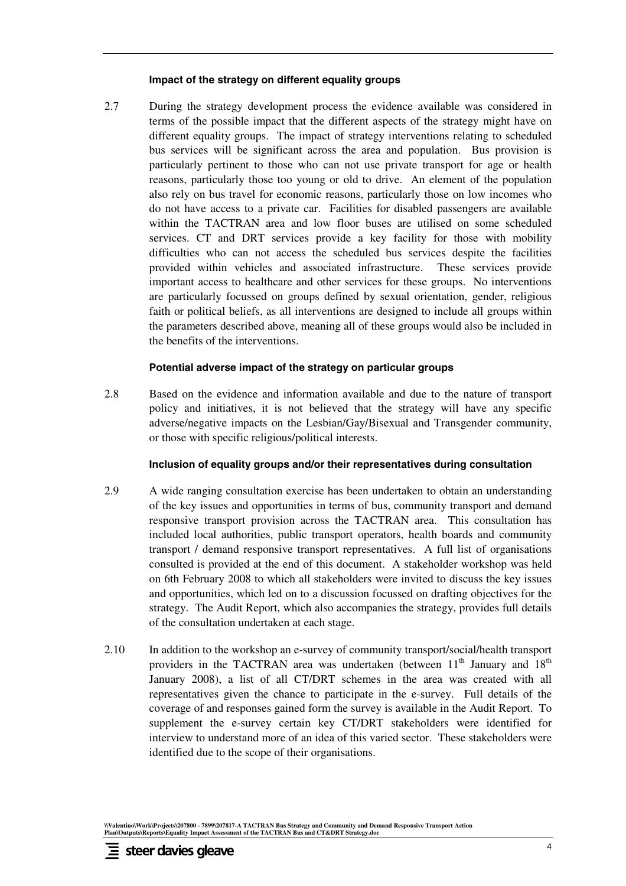#### **Impact of the strategy on different equality groups**

2.7 During the strategy development process the evidence available was considered in terms of the possible impact that the different aspects of the strategy might have on different equality groups. The impact of strategy interventions relating to scheduled bus services will be significant across the area and population. Bus provision is particularly pertinent to those who can not use private transport for age or health reasons, particularly those too young or old to drive. An element of the population also rely on bus travel for economic reasons, particularly those on low incomes who do not have access to a private car. Facilities for disabled passengers are available within the TACTRAN area and low floor buses are utilised on some scheduled services. CT and DRT services provide a key facility for those with mobility difficulties who can not access the scheduled bus services despite the facilities provided within vehicles and associated infrastructure. These services provide important access to healthcare and other services for these groups. No interventions are particularly focussed on groups defined by sexual orientation, gender, religious faith or political beliefs, as all interventions are designed to include all groups within the parameters described above, meaning all of these groups would also be included in the benefits of the interventions.

## **Potential adverse impact of the strategy on particular groups**

2.8 Based on the evidence and information available and due to the nature of transport policy and initiatives, it is not believed that the strategy will have any specific adverse/negative impacts on the Lesbian/Gay/Bisexual and Transgender community, or those with specific religious/political interests.

### **Inclusion of equality groups and/or their representatives during consultation**

- 2.9 A wide ranging consultation exercise has been undertaken to obtain an understanding of the key issues and opportunities in terms of bus, community transport and demand responsive transport provision across the TACTRAN area. This consultation has included local authorities, public transport operators, health boards and community transport / demand responsive transport representatives. A full list of organisations consulted is provided at the end of this document. A stakeholder workshop was held on 6th February 2008 to which all stakeholders were invited to discuss the key issues and opportunities, which led on to a discussion focussed on drafting objectives for the strategy. The Audit Report, which also accompanies the strategy, provides full details of the consultation undertaken at each stage.
- 2.10 In addition to the workshop an e-survey of community transport/social/health transport providers in the TACTRAN area was undertaken (between  $11<sup>th</sup>$  January and  $18<sup>th</sup>$ January 2008), a list of all CT/DRT schemes in the area was created with all representatives given the chance to participate in the e-survey. Full details of the coverage of and responses gained form the survey is available in the Audit Report. To supplement the e-survey certain key CT/DRT stakeholders were identified for interview to understand more of an idea of this varied sector. These stakeholders were identified due to the scope of their organisations.

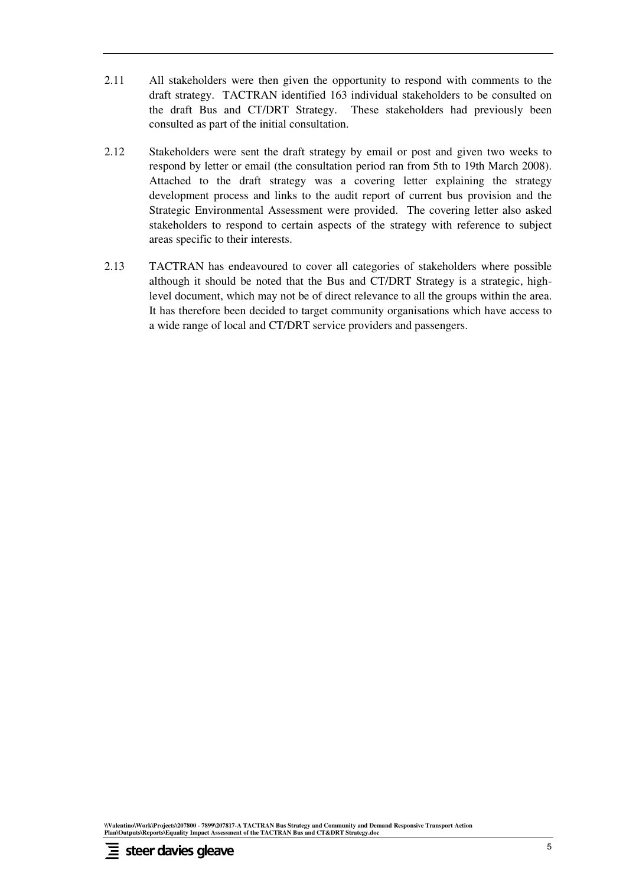- 2.11 All stakeholders were then given the opportunity to respond with comments to the draft strategy. TACTRAN identified 163 individual stakeholders to be consulted on the draft Bus and CT/DRT Strategy. These stakeholders had previously been consulted as part of the initial consultation.
- 2.12 Stakeholders were sent the draft strategy by email or post and given two weeks to respond by letter or email (the consultation period ran from 5th to 19th March 2008). Attached to the draft strategy was a covering letter explaining the strategy development process and links to the audit report of current bus provision and the Strategic Environmental Assessment were provided. The covering letter also asked stakeholders to respond to certain aspects of the strategy with reference to subject areas specific to their interests.
- 2.13 TACTRAN has endeavoured to cover all categories of stakeholders where possible although it should be noted that the Bus and CT/DRT Strategy is a strategic, highlevel document, which may not be of direct relevance to all the groups within the area. It has therefore been decided to target community organisations which have access to a wide range of local and CT/DRT service providers and passengers.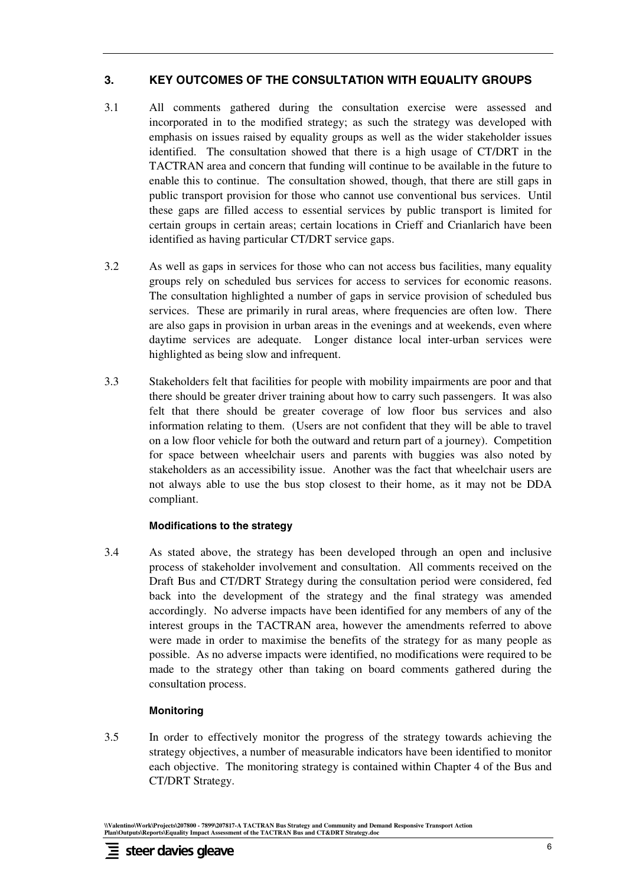# **3. KEY OUTCOMES OF THE CONSULTATION WITH EQUALITY GROUPS**

- 3.1 All comments gathered during the consultation exercise were assessed and incorporated in to the modified strategy; as such the strategy was developed with emphasis on issues raised by equality groups as well as the wider stakeholder issues identified. The consultation showed that there is a high usage of CT/DRT in the TACTRAN area and concern that funding will continue to be available in the future to enable this to continue. The consultation showed, though, that there are still gaps in public transport provision for those who cannot use conventional bus services. Until these gaps are filled access to essential services by public transport is limited for certain groups in certain areas; certain locations in Crieff and Crianlarich have been identified as having particular CT/DRT service gaps.
- 3.2 As well as gaps in services for those who can not access bus facilities, many equality groups rely on scheduled bus services for access to services for economic reasons. The consultation highlighted a number of gaps in service provision of scheduled bus services. These are primarily in rural areas, where frequencies are often low. There are also gaps in provision in urban areas in the evenings and at weekends, even where daytime services are adequate. Longer distance local inter-urban services were highlighted as being slow and infrequent.
- 3.3 Stakeholders felt that facilities for people with mobility impairments are poor and that there should be greater driver training about how to carry such passengers. It was also felt that there should be greater coverage of low floor bus services and also information relating to them. (Users are not confident that they will be able to travel on a low floor vehicle for both the outward and return part of a journey). Competition for space between wheelchair users and parents with buggies was also noted by stakeholders as an accessibility issue. Another was the fact that wheelchair users are not always able to use the bus stop closest to their home, as it may not be DDA compliant.

### **Modifications to the strategy**

3.4 As stated above, the strategy has been developed through an open and inclusive process of stakeholder involvement and consultation. All comments received on the Draft Bus and CT/DRT Strategy during the consultation period were considered, fed back into the development of the strategy and the final strategy was amended accordingly. No adverse impacts have been identified for any members of any of the interest groups in the TACTRAN area, however the amendments referred to above were made in order to maximise the benefits of the strategy for as many people as possible. As no adverse impacts were identified, no modifications were required to be made to the strategy other than taking on board comments gathered during the consultation process.

# **Monitoring**

3.5 In order to effectively monitor the progress of the strategy towards achieving the strategy objectives, a number of measurable indicators have been identified to monitor each objective. The monitoring strategy is contained within Chapter 4 of the Bus and CT/DRT Strategy.

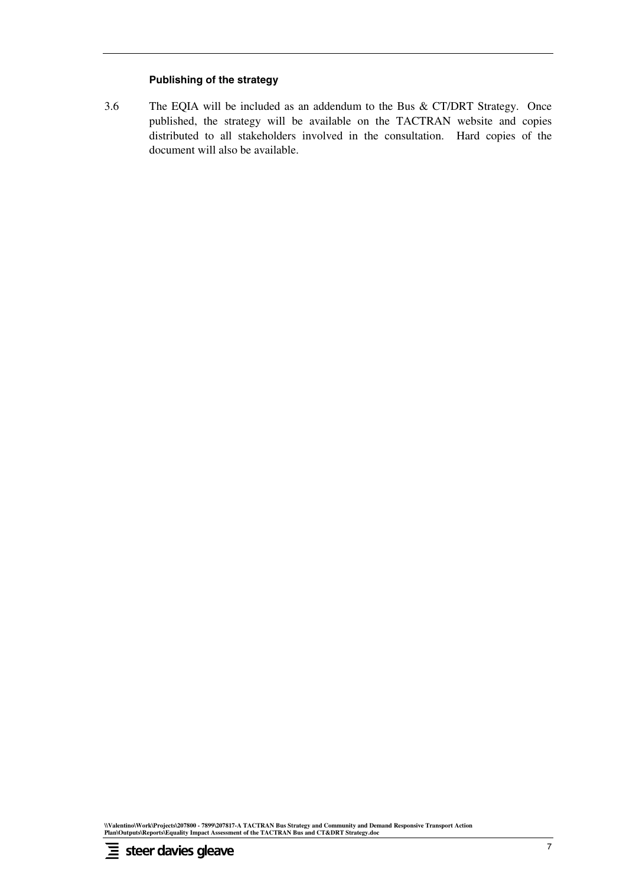### **Publishing of the strategy**

3.6 The EQIA will be included as an addendum to the Bus & CT/DRT Strategy. Once published, the strategy will be available on the TACTRAN website and copies distributed to all stakeholders involved in the consultation. Hard copies of the document will also be available.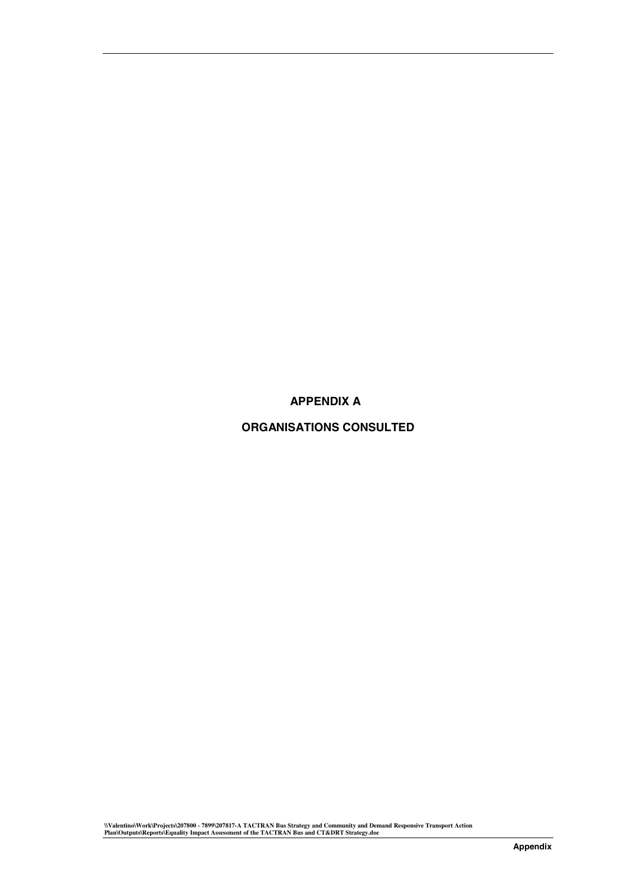**APPENDIX A** 

**ORGANISATIONS CONSULTED**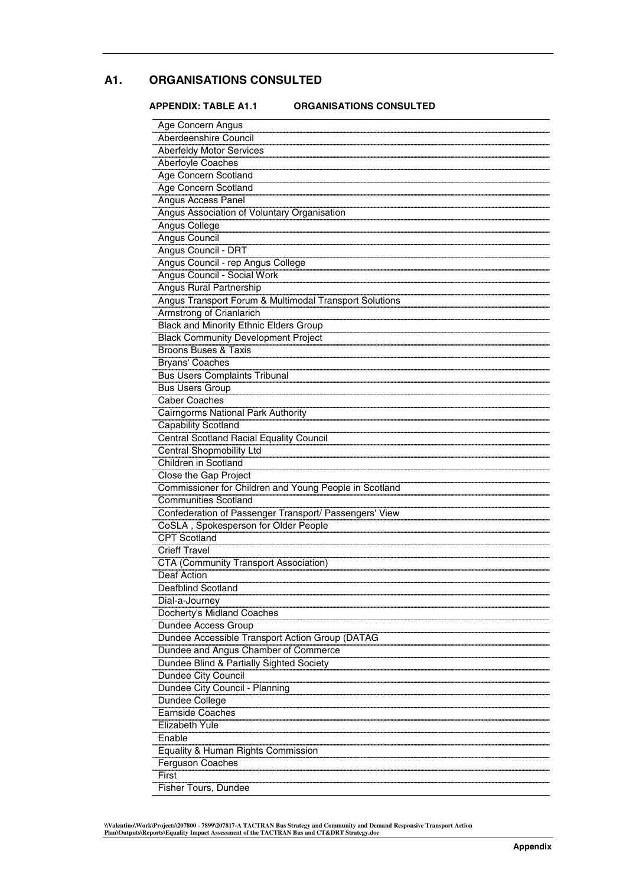## **A1. ORGANISATIONS CONSULTED**

#### **APPENDIX: TABLE A1.1 ORGANISATIONS CONSULTED**

| Age Concern Angus                                      |
|--------------------------------------------------------|
| <b>Aberdeenshire Council</b>                           |
| <b>Aberfeldy Motor Services</b>                        |
| Aberfoyle Coaches                                      |
| Age Concern Scotland                                   |
| Age Concern Scotland                                   |
| Angus Access Panel                                     |
| Angus Association of Voluntary Organisation            |
| Angus College                                          |
| <b>Angus Council</b>                                   |
| Angus Council - DRT                                    |
| Angus Council - rep Angus College                      |
| Angus Council - Social Work                            |
| Angus Rural Partnership                                |
| Angus Transport Forum & Multimodal Transport Solutions |
| Armstrong of Crianlarich                               |
| <b>Black and Minority Ethnic Elders Group</b>          |
| <b>Black Community Development Project</b>             |
| <b>Broons Buses &amp; Taxis</b>                        |
| Bryans' Coaches                                        |
| <b>Bus Users Complaints Tribunal</b>                   |
| <b>Bus Users Group</b>                                 |
| <b>Caber Coaches</b>                                   |
| Cairngorms National Park Authority                     |
| Capability Scotland                                    |
| Central Scotland Racial Equality Council               |
| Central Shopmobility Ltd                               |
| Children in Scotland                                   |
| Close the Gap Project                                  |
| Commissioner for Children and Young People in Scotland |
| <b>Communities Scotland</b>                            |
| Confederation of Passenger Transport/ Passengers' View |
| CoSLA, Spokesperson for Older People                   |
| <b>CPT</b> Scotland                                    |
| <b>Crieff Travel</b>                                   |
| CTA (Community Transport Association)                  |
| Deaf Action                                            |
| Deafblind Scotland                                     |
| Dial-a-Journey                                         |
| Docherty's Midland Coaches                             |
| Dundee Access Group                                    |
| Dundee Accessible Transport Action Group (DATAG        |
| Dundee and Angus Chamber of Commerce                   |
| Dundee Blind & Partially Sighted Society               |
| Dundee City Council                                    |
|                                                        |
| Dundee City Council - Planning<br>Dundee College       |
| Earnside Coaches                                       |
| Elizabeth Yule                                         |
|                                                        |
| Enable                                                 |
| Equality & Human Rights Commission                     |
| Ferguson Coaches                                       |
| First                                                  |
| Fisher Tours, Dundee                                   |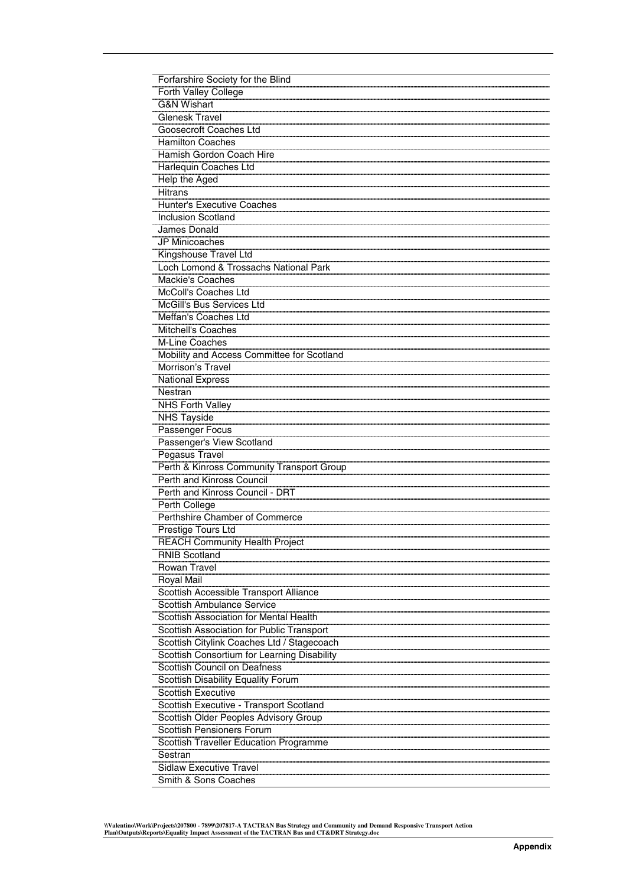| Forfarshire Society for the Blind           |
|---------------------------------------------|
|                                             |
| Forth Valley College                        |
| <b>G&amp;N Wishart</b>                      |
| <b>Glenesk Travel</b>                       |
| <b>Goosecroft Coaches Ltd</b>               |
| <b>Hamilton Coaches</b>                     |
| Hamish Gordon Coach Hire                    |
| Harlequin Coaches Ltd                       |
| Help the Aged                               |
| <b>Hitrans</b>                              |
| Hunter's Executive Coaches                  |
| Inclusion Scotland                          |
| James Donald                                |
| JP Minicoaches                              |
| Kingshouse Travel Ltd                       |
| Loch Lomond & Trossachs National Park       |
| Mackie's Coaches                            |
| McColl's Coaches Ltd                        |
| McGill's Bus Services Ltd                   |
| Meffan's Coaches Ltd                        |
| Mitchell's Coaches                          |
| M-Line Coaches                              |
| Mobility and Access Committee for Scotland  |
| Morrison's Travel                           |
| <b>National Express</b>                     |
| Nestran                                     |
| <b>NHS Forth Valley</b>                     |
| <b>NHS Tayside</b>                          |
| Passenger Focus                             |
| Passenger's View Scotland                   |
| Pegasus Travel                              |
| Perth & Kinross Community Transport Group   |
| <b>Perth and Kinross Council</b>            |
| Perth and Kinross Council - DRT             |
| Perth College                               |
| <b>Perthshire Chamber of Commerce</b>       |
| Prestige Tours Ltd                          |
| <b>REACH Community Health Project</b>       |
| <b>RNIB Scotland</b>                        |
| Rowan Travel                                |
| Royal Mail                                  |
| Scottish Accessible Transport Alliance      |
| Scottish Ambulance Service                  |
|                                             |
| Scottish Association for Mental Health      |
| Scottish Association for Public Transport   |
| Scottish Citylink Coaches Ltd / Stagecoach  |
| Scottish Consortium for Learning Disability |
| <b>Scottish Council on Deafness</b>         |
| Scottish Disability Equality Forum          |
| <b>Scottish Executive</b>                   |
| Scottish Executive - Transport Scotland     |
| Scottish Older Peoples Advisory Group       |
| <b>Scottish Pensioners Forum</b>            |
| Scottish Traveller Education Programme      |
| Sestran                                     |
| <b>Sidlaw Executive Travel</b>              |
| Smith & Sons Coaches                        |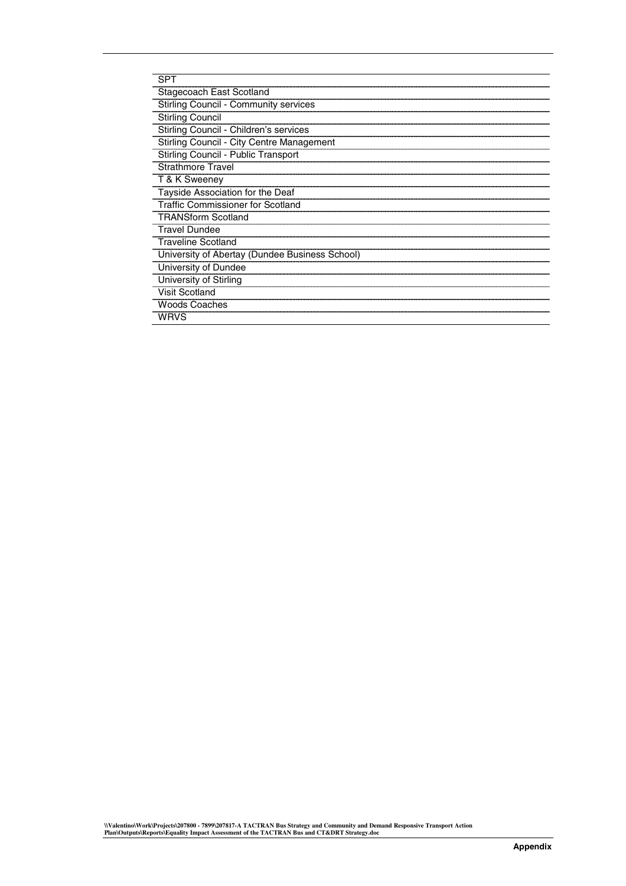| <b>SPT</b>                                     |
|------------------------------------------------|
| Stagecoach East Scotland                       |
| <b>Stirling Council - Community services</b>   |
| <b>Stirling Council</b>                        |
| Stirling Council - Children's services         |
| Stirling Council - City Centre Management      |
| Stirling Council - Public Transport            |
| <b>Strathmore Travel</b>                       |
| T & K Sweeney                                  |
| Tayside Association for the Deaf               |
| <b>Traffic Commissioner for Scotland</b>       |
| <b>TRANSform Scotland</b>                      |
| <b>Travel Dundee</b>                           |
| <b>Traveline Scotland</b>                      |
| University of Abertay (Dundee Business School) |
| University of Dundee                           |
| University of Stirling                         |
| <b>Visit Scotland</b>                          |
| <b>Woods Coaches</b>                           |
| <b>WRVS</b>                                    |